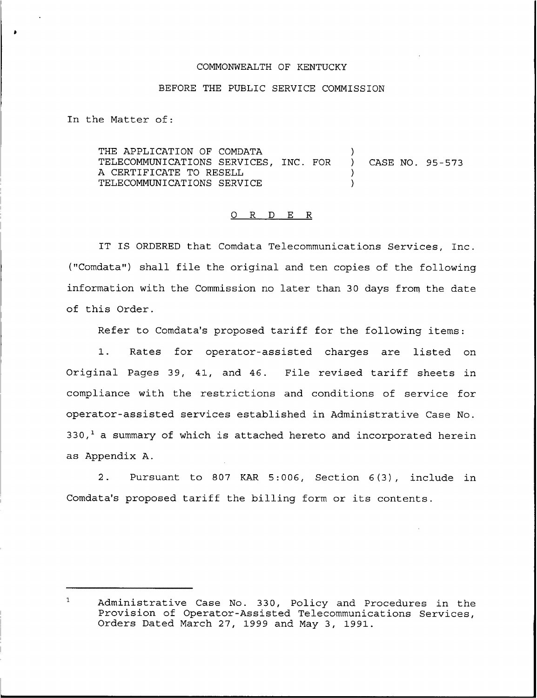## COMMONWEALTH OF KENTUCKY

## BEFORE THE PUBLIC SERVICE COMMISSION

In the Matter of:

THE APPLICATION OF COMDATA TELECOMMUNICATIONS SERVICES, INC. FOR A CERTIFICATE TO RESELL TELECOMMUNICATIONS SERVICE  $\sum$ ) CASE NO. 95-573 ) )

## 0 R <sup>D</sup> E R

IT IS ORDERED that Comdata Telecommunications Services, Inc. ("Comdata") shall file the original and ten copies of the following information with the Commission no later than 30 days from the date of this Order.

Refer to Comdata's proposed tariff for the following items:

1. Rates for operator-assisted charges are listed on Original Pages 39, 41, and 46. File revised tariff sheets in compliance with the restrictions and conditions of service for operator-assisted services established in Administrative Case No.  $330<sub>1</sub><sup>1</sup>$  a summary of which is attached hereto and incorporated herein as Appendix A.

2. Pursuant to 807 KAR 5:006, Section 6(3), include in Comdata's proposed tariff the billing form or its contents.

 $\mathbf{1}$ Administrative Case No. 330, Policy and Procedures in the Provision of Operator-Assisted Telecommunications Services, Orders Dated March 27, 1999 and May 3, 1991.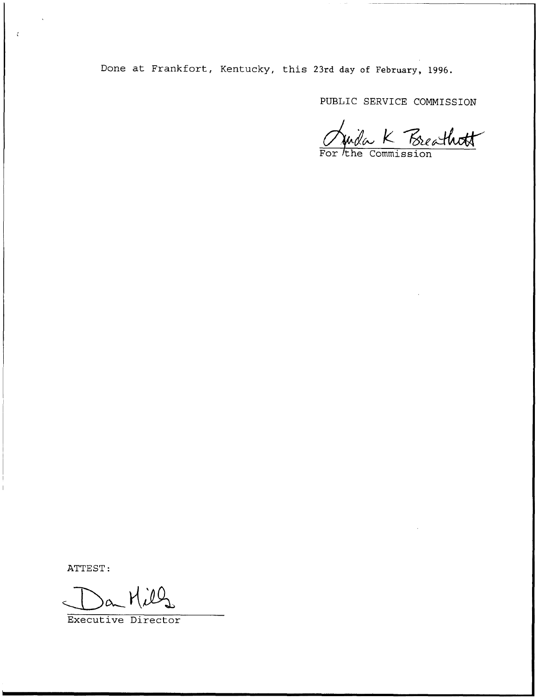Done at Frankfort, Kentucky, this 23rd day of February, 1996.

PUBLIC SERVICE COMMISSION

Juila K Breathott

ATTEST:

 $\cdot$ 

 $(\mu)$ 

Executive Director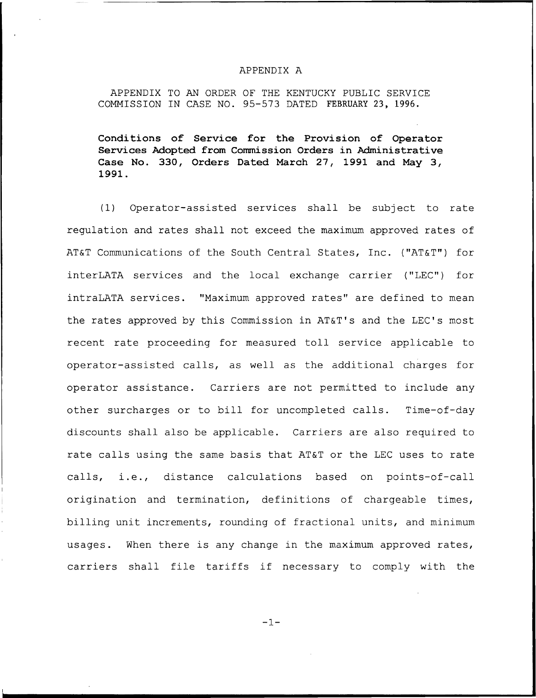## APPENDIX A

APPENDIX TO AN ORDER OF THE KENTUCKY PUBLIC SERVICE COMMISSION IN CASE NO. 95—573 DATED FEBRUARY 23, 1996.

Conditions of Service for the Provision of Operator Services Adopted from Commission Orders in Administrative Case No. 330, Orders Dated March 27, 1991 and May 3, 1991.

(I) Operator-assisted services shall be subject to rate regulation and rates shall not exceed the maximum approved rates of AT&T Communications of the South Central States, Inc. ("AT&T") for interLATA services and the local exchange carrier ("LEC") for intraLATA services. "Maximum approved rates" are defined to mean the rates approved by this Commission in AT&T's and the LEC's most recent rate proceeding for measured toll service applicable to operator-assisted calls, as well as the additional charges for operator assistance. Carriers are not permitted to include any other surcharges or to bill for uncompleted calls. Time-of-day discounts shall also be applicable. Carriers are also required to rate calls using the same basis that AT&T or the LEC uses to rate calls, i.e., distance calculations based on points-of-call origination and termination, definitions of chargeable times, billing unit increments, rounding of fractional units, and minimum usages. When there is any change in the maximum approved rates, carriers shall file tariffs if necessary to comply with the

 $-1-$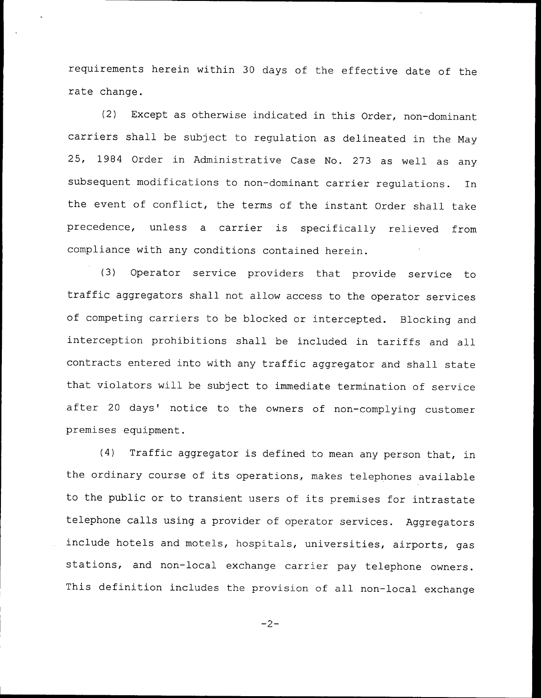requirements herein within 30 days of the effective date of the rate change.

(2) Except as otherwise indicated in this Order, non-dominant carriers shall be subject to regulation as delineated in the May 25, 1984 Order in Administrative Case No. 273 as well as any subsequent modifications to non-dominant carrier regulations. In the event of conflict, the terms of the instant Order shall take precedence, unless <sup>a</sup> carrier is specifically relieved from compliance with any conditions contained herein.

(3) Operator service providers that provide service to traffic aggregators shall not allow access to the operator services of competing carriers to be blocked or intercepted. Blocking and interception prohibitions shall be included in tariffs and all contracts entered into with any traffic aggregator and shall state that violators will be subject to immediate termination of service after 20 days' notice to the owners of non-complying customer premises equipment.

(4) Traffic aggregator is defined to mean any person that, in the ordinary course of its operations, makes telephones available to the public or to transient users of its premises for intrastate telephone calls using <sup>a</sup> provider of operator services. Aggregators include hotels and motels, hospitals, universities, airports, gas stations, and non-local exchange carrier pay telephone owners. This definition includes the provision of all non-local exchange

 $-2-$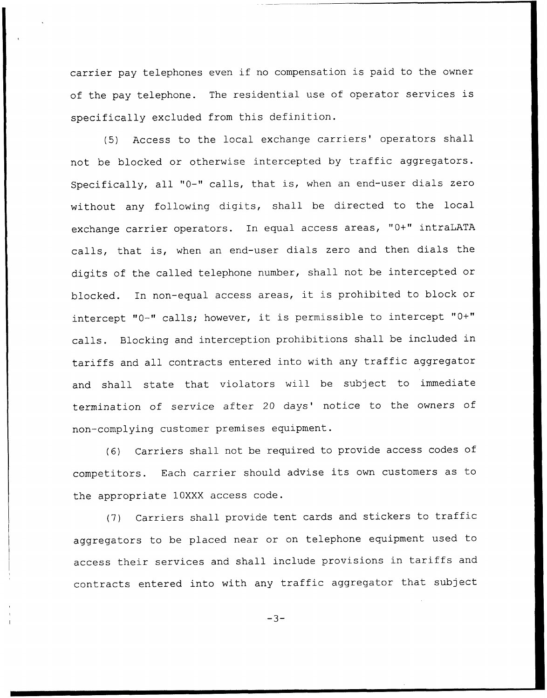carrier pay telephones even if no compensation is paid to the owner of the pay telephone. The residential use of operator services is specifically excluded from this definition.

(5) Access to the local exchange carriers' operators shall not be blocked or otherwise intercepted by traffic aggregators. Specifically, all "0-" calls, that is, when an end-user dials zero without any following digits, shall be directed to the local exchange carrier operators. In equal access areas, "0+" intraLATA calls, that is, when an end-user dials zero and then dials the digits of the called telephone number, shall not be intercepted or blocked. In non-equal access areas, it is prohibited to block or intercept "0-" calls; however, it is permissible to intercept "0+" calls. Blocking and interception prohibitions shall be included in tariffs and all contracts entered into with any traffic aggregator and shall state that violators will be subject to immediate termination of service after 20 days' notice to the owners of non-complying customer premises equipment.

(6) Carriers shall not be required to provide access codes of competitors. Each carrier should advise its own customers as to the appropriate 10XXX access code.

(7) Carriers shall provide tent cards and stickers to traffic aggregators to be placed near or on telephone equipment used to access their services and shall include provisions in tariffs and contracts entered into with any traffic aggregator that subject

 $-3-$